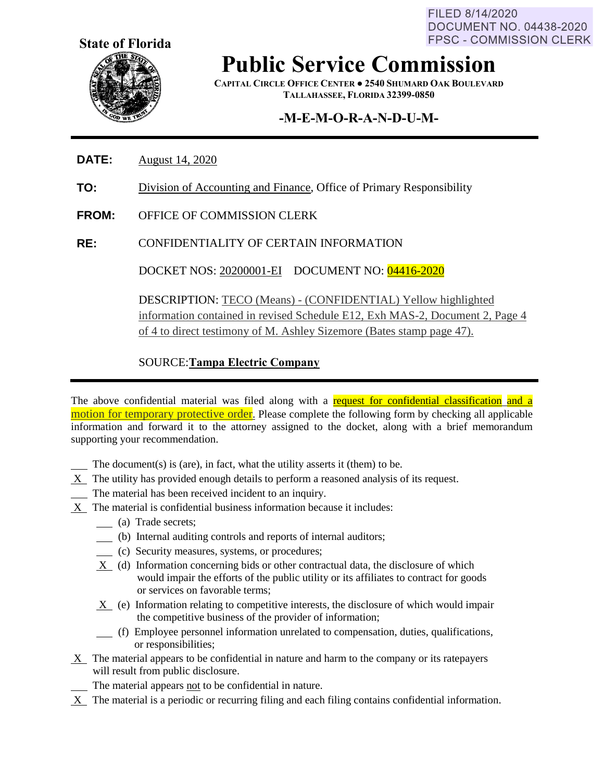FILED 8/14/2020 **DOCUMENT NO. 04438-2020 FPSC - COMMISSION CLERK** 



**Public Service Commission**

**CAPITAL CIRCLE OFFICE CENTER ● 2540 SHUMARD OAK BOULEVARD TALLAHASSEE, FLORIDA 32399-0850**

# **-M-E-M-O-R-A-N-D-U-M-**

- **DATE:** August 14, 2020
- **TO:** Division of Accounting and Finance, Office of Primary Responsibility
- **FROM:** OFFICE OF COMMISSION CLERK
- **RE:** CONFIDENTIALITY OF CERTAIN INFORMATION

DOCKET NOS: 20200001-EI DOCUMENT NO: 04416-2020

DESCRIPTION: TECO (Means) - (CONFIDENTIAL) Yellow highlighted information contained in revised Schedule E12, Exh MAS-2, Document 2, Page 4 of 4 to direct testimony of M. Ashley Sizemore (Bates stamp page 47).

### SOURCE:**Tampa Electric Company**

The above confidential material was filed along with a request for confidential classification and a motion for temporary protective order. Please complete the following form by checking all applicable information and forward it to the attorney assigned to the docket, along with a brief memorandum supporting your recommendation.

- The document(s) is (are), in fact, what the utility asserts it (them) to be.
- X The utility has provided enough details to perform a reasoned analysis of its request.
- The material has been received incident to an inquiry.
- X The material is confidential business information because it includes:
	- (a) Trade secrets;
	- (b) Internal auditing controls and reports of internal auditors;
	- (c) Security measures, systems, or procedures;
	- X (d) Information concerning bids or other contractual data, the disclosure of which would impair the efforts of the public utility or its affiliates to contract for goods or services on favorable terms;
	- X (e) Information relating to competitive interests, the disclosure of which would impair the competitive business of the provider of information;
	- (f) Employee personnel information unrelated to compensation, duties, qualifications, or responsibilities;
- X The material appears to be confidential in nature and harm to the company or its ratepayers will result from public disclosure.
	- The material appears not to be confidential in nature.
- X The material is a periodic or recurring filing and each filing contains confidential information.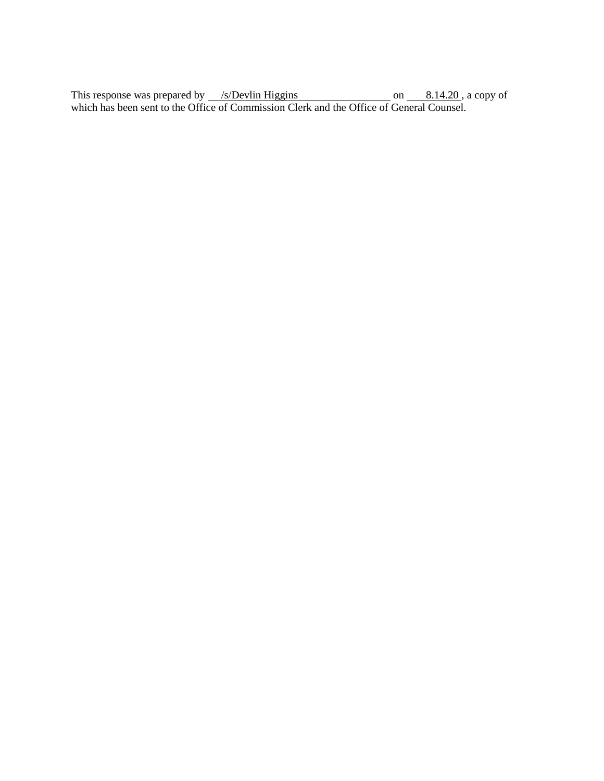This response was prepared by /s/Devlin Higgins on 8.14.20, a copy of which has been sent to the Office of Commission Clerk and the Office of General Counsel.